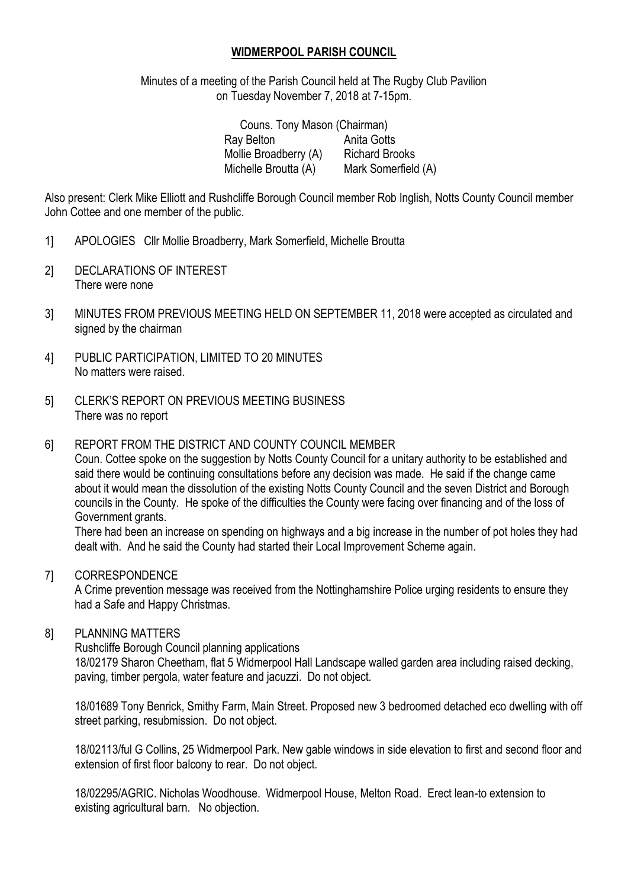## **WIDMERPOOL PARISH COUNCIL**

Minutes of a meeting of the Parish Council held at The Rugby Club Pavilion on Tuesday November 7, 2018 at 7-15pm.

| Couns. Tony Mason (Chairman) |                       |
|------------------------------|-----------------------|
| Ray Belton                   | Anita Gotts           |
| Mollie Broadberry (A)        | <b>Richard Brooks</b> |
| Michelle Broutta (A)         | Mark Somerfield (A)   |

Also present: Clerk Mike Elliott and Rushcliffe Borough Council member Rob Inglish, Notts County Council member John Cottee and one member of the public.

- 1] APOLOGIES Cllr Mollie Broadberry, Mark Somerfield, Michelle Broutta
- 2] DECLARATIONS OF INTEREST There were none
- 3] MINUTES FROM PREVIOUS MEETING HELD ON SEPTEMBER 11, 2018 were accepted as circulated and signed by the chairman
- 4] PUBLIC PARTICIPATION, LIMITED TO 20 MINUTES No matters were raised.
- 5] CLERK'S REPORT ON PREVIOUS MEETING BUSINESS There was no report

### 6] REPORT FROM THE DISTRICT AND COUNTY COUNCIL MEMBER

Coun. Cottee spoke on the suggestion by Notts County Council for a unitary authority to be established and said there would be continuing consultations before any decision was made. He said if the change came about it would mean the dissolution of the existing Notts County Council and the seven District and Borough councils in the County. He spoke of the difficulties the County were facing over financing and of the loss of Government grants.

There had been an increase on spending on highways and a big increase in the number of pot holes they had dealt with. And he said the County had started their Local Improvement Scheme again.

#### 7] CORRESPONDENCE

A Crime prevention message was received from the Nottinghamshire Police urging residents to ensure they had a Safe and Happy Christmas.

#### 8] PLANNING MATTERS

Rushcliffe Borough Council planning applications

18/02179 Sharon Cheetham, flat 5 Widmerpool Hall Landscape walled garden area including raised decking, paving, timber pergola, water feature and jacuzzi. Do not object.

18/01689 Tony Benrick, Smithy Farm, Main Street. Proposed new 3 bedroomed detached eco dwelling with off street parking, resubmission. Do not object.

18/02113/ful G Collins, 25 Widmerpool Park. New gable windows in side elevation to first and second floor and extension of first floor balcony to rear. Do not object.

18/02295/AGRIC. Nicholas Woodhouse. Widmerpool House, Melton Road. Erect lean-to extension to existing agricultural barn. No objection.